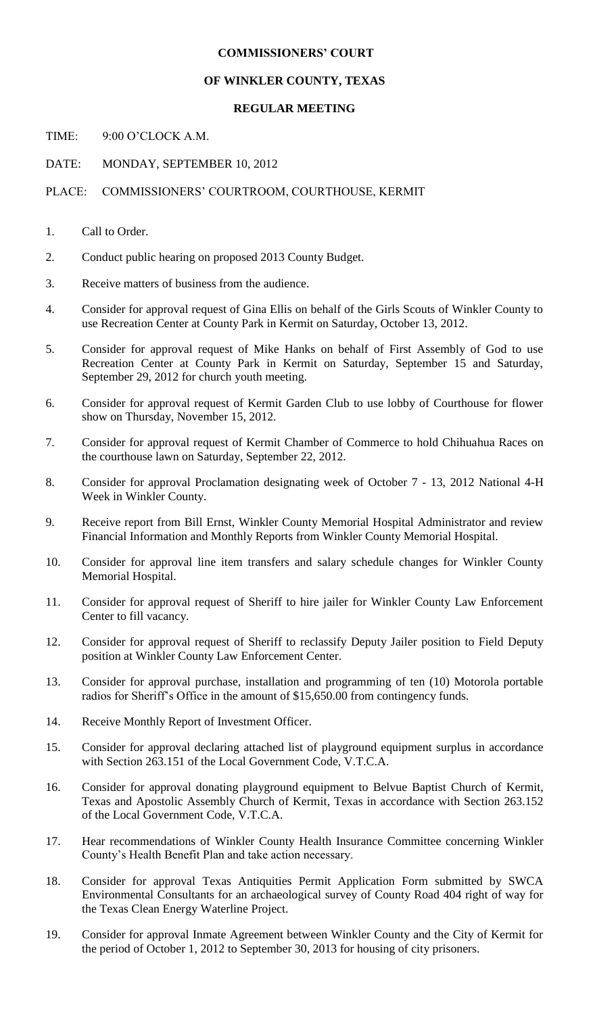## **COMMISSIONERS' COURT**

## **OF WINKLER COUNTY, TEXAS**

## **REGULAR MEETING**

TIME: 9:00 O'CLOCK A M.

DATE: MONDAY, SEPTEMBER 10, 2012

PLACE: COMMISSIONERS' COURTROOM, COURTHOUSE, KERMIT

- 1. Call to Order.
- 2. Conduct public hearing on proposed 2013 County Budget.
- 3. Receive matters of business from the audience.
- 4. Consider for approval request of Gina Ellis on behalf of the Girls Scouts of Winkler County to use Recreation Center at County Park in Kermit on Saturday, October 13, 2012.
- 5. Consider for approval request of Mike Hanks on behalf of First Assembly of God to use Recreation Center at County Park in Kermit on Saturday, September 15 and Saturday, September 29, 2012 for church youth meeting.
- 6. Consider for approval request of Kermit Garden Club to use lobby of Courthouse for flower show on Thursday, November 15, 2012.
- 7. Consider for approval request of Kermit Chamber of Commerce to hold Chihuahua Races on the courthouse lawn on Saturday, September 22, 2012.
- 8. Consider for approval Proclamation designating week of October 7 13, 2012 National 4-H Week in Winkler County.
- 9. Receive report from Bill Ernst, Winkler County Memorial Hospital Administrator and review Financial Information and Monthly Reports from Winkler County Memorial Hospital.
- 10. Consider for approval line item transfers and salary schedule changes for Winkler County Memorial Hospital.
- 11. Consider for approval request of Sheriff to hire jailer for Winkler County Law Enforcement Center to fill vacancy.
- 12. Consider for approval request of Sheriff to reclassify Deputy Jailer position to Field Deputy position at Winkler County Law Enforcement Center.
- 13. Consider for approval purchase, installation and programming of ten (10) Motorola portable radios for Sheriff's Office in the amount of \$15,650.00 from contingency funds.
- 14. Receive Monthly Report of Investment Officer.
- 15. Consider for approval declaring attached list of playground equipment surplus in accordance with Section 263.151 of the Local Government Code, V.T.C.A.
- 16. Consider for approval donating playground equipment to Belvue Baptist Church of Kermit, Texas and Apostolic Assembly Church of Kermit, Texas in accordance with Section 263.152 of the Local Government Code, V.T.C.A.
- 17. Hear recommendations of Winkler County Health Insurance Committee concerning Winkler County's Health Benefit Plan and take action necessary.
- 18. Consider for approval Texas Antiquities Permit Application Form submitted by SWCA Environmental Consultants for an archaeological survey of County Road 404 right of way for the Texas Clean Energy Waterline Project.
- 19. Consider for approval Inmate Agreement between Winkler County and the City of Kermit for the period of October 1, 2012 to September 30, 2013 for housing of city prisoners.